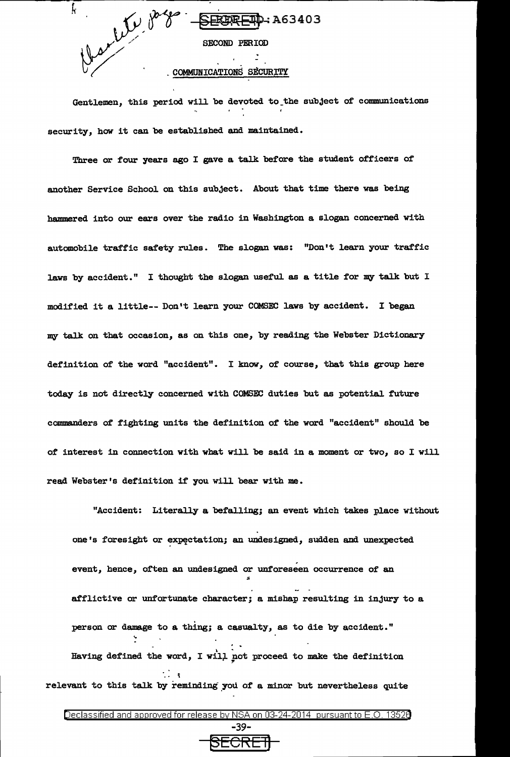

Gentlemen, this period will be devoted to\_the subject of communications security, how it can be established and maintained.

Three or four years ago I gave a talk before the student officers of another Service School on this subject. About that time there was being hammered into our ears over the radio in Washington a slogan concerned with automobile traffic safety rules. The slogan was: "Don't learn your traffic laws by accident." I thought the slogan useful as a title for my talk but I modified it a little-- Don't learn your COMSEC laws by accident. I began my talk on that occasion, as on this one, by reading the Webster Dictionary definition of the word "accident". I know, of course, that this group here today is not directly concerned with COMSEC duties but as potential future commanders of fighting units the definition of the word "accident" should be of interest in connection with what will be said in a moment or two, so I will read Webster's definition if you will bear with me.

"Accident: Literally a befalling; an event which takes place without one's foresight or expectation; an undesigned, sudden and unexpected event, hence, often an undesigned or unforeseen occurrence of an " afflictive or unfortunate character; a mishap resulting in injury to a person or damage to a thing; a casualty, as to die by accident." . . Having defined the word, I will not proceed to make the definition .. .. ; relevant to this talk by reminding you of a minor but nevertheless quite

3ECRE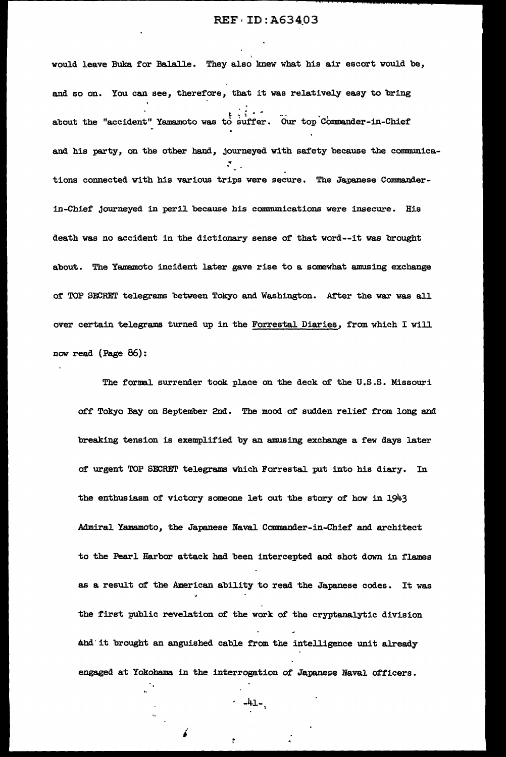would leave Buka for Balalle. They also knew what his air escort would be, and so on. You can see, therefore, that it was relatively easy to bring  $t_{\rm c}$  .  $t_{\rm c}$  .  $t_{\rm c}$ about the "accident" Yamamoto was to suffer. Our top Commander-in-Chief and his party, on the other hand, journeyed with safety because the communica- $\mathcal{F}_{\mathcal{F}_{\mathcal{F}}}$  . tions connected with his various trips were secure. The Japanese Commanderin-Chief journeyed in peril because his communications were insecure. His death was no accident in the dictionary sense of that word--it was brought about. The Yamamoto incident later gave rise to a somewhat amusing exchange of TOP SECRET telegrams between Tokyo and Washington. After the war was all over certain telegrams turned up in the Forrestal Diaries, from which I will now read (Page 86):

The formal surrender took place on the deck of the U.S.S. Missouri off' Tokyo Bay on September 2nd. The mood of sudden relief from long and breaking tension is exemplified by an amusing exchange a few days later of' urgent TOP SECREI' telegrams which Forrestal put into his diary. In the enthusiasm of victory someone let out the story of how in 1943 Admiral Yamamoto, the Japanese Naval Commander-in-Chief and architect to the Pearl Harbor attack had been intercepted and shot down in flames as a result of' the American ability to read the Japanese codes. It was the first public revelation of the work of the cryptanalytic division ahd'it brought an anguished cable from the intelligence unit already engaged at Yokohama. in the interrogation of Japanese NavaJ. officers.

 $-41-$ 

 $\mathbf{r}$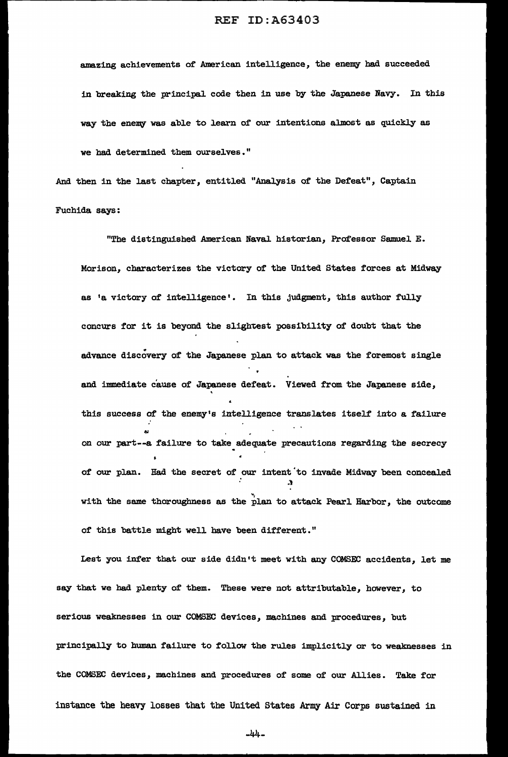amazing achievements of American intelligence, the enemy had succeeded in breaking the principal code then in use by the Japanese Navy. In this way the enemy was able to learn of our intentions almost as quickly as we had determined them ourselves."

And then in the last chapter, entitled "Analysis of the Defeat", Captain Fuchida says:

"The distinguished American Naval historian, Professor Samuel E. Morison, characterizes the victory of the United States forces at Midway as 'a victory of intelligence'. In this judgment, this author fully concurs for it is beyond the slightest possibility of doubt that the advance discovery of the Japanese plan to attack was the foremost single . and immediate cause of Japanese defeat. Viewed from the Japanese side, • this success of the enemy's intelligence translates itself into a failure on our part--a failure to take adequate precautions regarding the secrecy of our plan. Had the secret of our intent 'to invade Midway been concealed :t with the same thoroughness as the plan to attack Pearl Harbor, the outcome of this battle might well have been different."

Lest you infer that our side didn't meet with any COMSEC accidents, let me say that we bad plenty of them. These were not attributable, however, to serious weaknesses in our COMSEC devices, machines and procedures, but principally to human failure to follow the rules implicitly or to weaknesses in the COMSEC devices, machines and procedures of some of our Allies. Take for instance the heavy losses that the United States Army Air Corps sustained in

-44-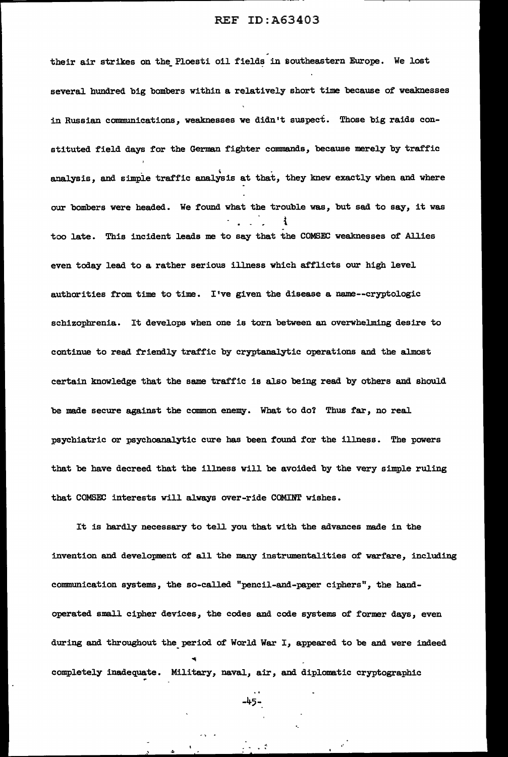their air strikes on the Ploesti oil fields in southeastern Europe. We lost several hundred big bombers within a relatively short time because of weaknesses in Russian communications, weaknesses we didn't suspect. Those big raids constituted field days for the German fighter commands, because merely by traffic analysis, and simple traffic analysis at that, they knew exactly when and where our bombers were headed. We found what the trouble was, but sad to say, it was t too late. This incident leads me to say that the COMSEC weaknesses of Allies even today lead to a rather serious illness which afflicts our high level authorities from time to time. I've given the disease a name--cryptologic schizophrenia. It develops when one is torn between an overwhelming desire to continue to read friendly traffic by cryptanalytic operations and the almost certain knowledge that the same traffic is also being read by others and should be made secure against the common enemy. What to do? Thus far, no real psychiatric or psychoanalytic cure has been found for the illness. The powers that be have decreed that the illness will be avoided by the very simple ruling that COMSEC interests will always over-ride COMINT wishes.

It is hardly necessary to tell you that with the advances made in the invention and development of all the many instrumentalities of warfare, including communication systems, the so-called "pencil-and-paper ciphers", the bandoperated small cipher devices, the codes and code systems of former days, even during and throughout the period of World War I, appeared to be and were indeed completely inadequate. Military, naval, air, and diplomatic cryptographic

-45-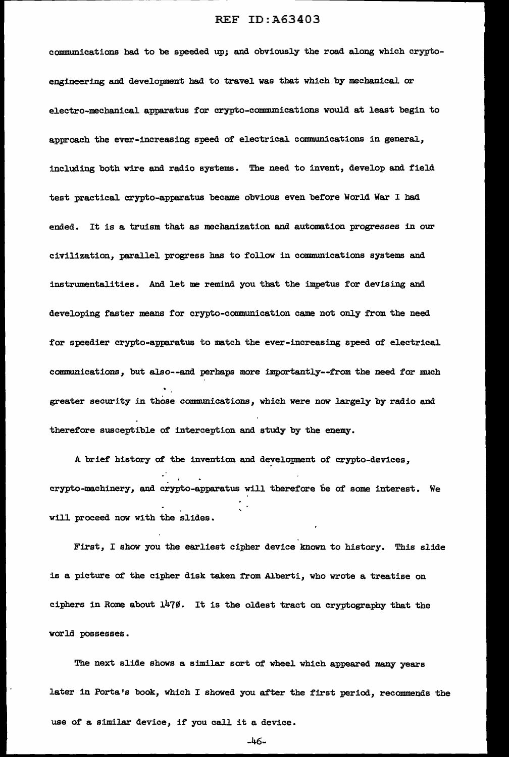communications had to be speeded up; and obviously the road along which cryptoengineering and development had to travel was that which by mechanical or electro-mechanical apparatus for crypto-communications would at least begin to approach the ever-increasing speed of electrical communications in general, including both wire and radio systems. The need to invent, develop and field test practical crypto-apparatus became obvious even before World War I had ended. It is a truism that as mechanization and automation progresses in our civilization, parallel progress has to follow in communications systems and instrumentalities. And let me remind you that the impetus for devising and developing faster means for crypto-communication came not only from the need for speedier crypto-apparatua to match the ever-increasing speed of electrical communications, but also--and perhaps more importantly--from the need for much greater security in those communications, which were now largely by radio and therefore susceptible of interception and study by the enemy.

A brief history of the invention and development of crypto-devices, crypto-machinery, and crypto-apparatus will therefore be of some interest. We will proceed now with the slides.

First, I show you the earliest cipher device known to history. This slide is a picture of the cipher disk taken from Alberti, who wrote a treatise on ciphers in Rome about  $1479$ . It is the oldest tract on cryptography that the world possesses.

The next slide shows a similar sort of wheel. which appeared many years later in Porta's book, which I showed you after the first period, recommends the use of a similar device, if you call it a device.

-46-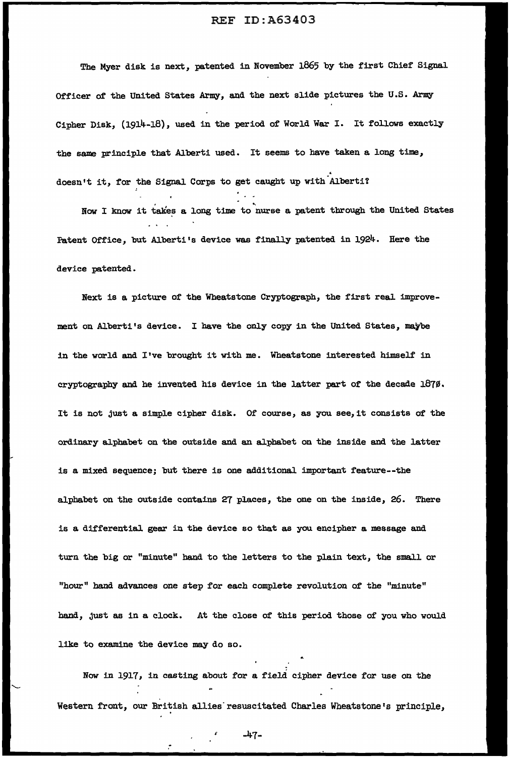The Myer disk is next, patented in November 1865 by the first Chief Signal Officer of the United States Army, and the next slide pictures the U.S. Army Cipher Disk, (1914-18), used in the period of World War I. It follows exactly the same principle that Alberti used. It seems to have taken a long time, doesn't it, for the Signal Corps to get caught up with Alberti?

Now I know it takes a long time to nurse a patent through the United States Fatent Office, but Alberti's device was finally patented in 1924. Here the device patented.

Next is a picture of the Wheatstone Cryptograph, the first real improvement on Alberti's device. I have the only copy in the United States, maybe in the world and I've brought it with me. Wheatstone interested himself in cryptography and he invented his device in the latter part of the decade  $1870$ . It is not just a simple cipher disk. Of course, as you see,it consists of the ordinary alphabet on the outside and an alphabet on the inside and the latter is a mixed sequence; but there is one additional important feature--the alphabet on the outside contains 27 places, the one on the inside, 26. There is a differential gear in the device so that as you encipher a message and turn the big or "minute" hand to the letters to the plain text, the small or "hour" band advances one step for each complete revolution of the "minute" hand, just as in a clock. At the close of this period those of you who would like to examine the device may do so.

Now in 1917, in casting about for a field cipher device for use on the Western front, our British allies resuscitated Charles Wheatstone's principle,

~ -47-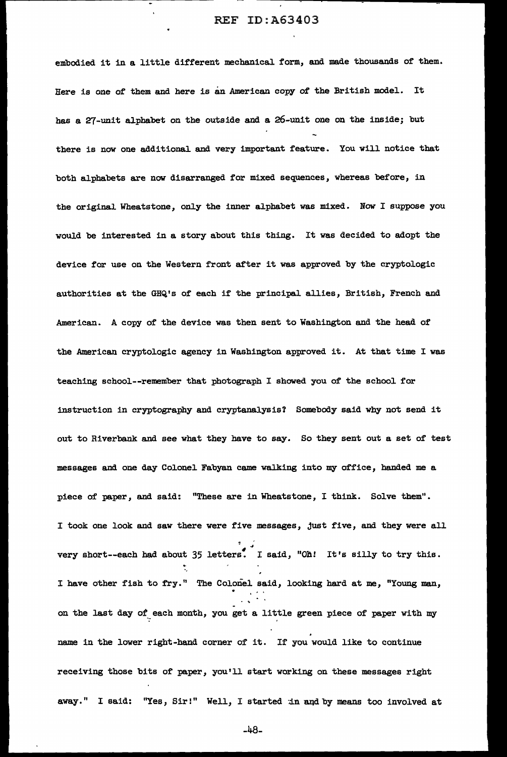embodied it in a little different mechanical form, and made thousands of them. Here is one of them and here is an American copy of the British model. It bas a 27-unit alphabet on the outside and a 26-unit one on the inside; but there is now one additional and very important feature. You will notice that both alphabets are now disarranged for mixed sequences, whereas before, in the original Wheatstone, only the inner alphabet was mixed. Now I suppose you would be interested in a story about this thing. It was decided to adopt the device for use on the Western front after it was approved by the cryptologic authorities at the GHQ's of each if the principal. allies, British, French and American. A copy of the device was then sent to Washington and the head of the American cryptologic agency in Washington approved it. At that time I was teaching school--remember that photograph I showed you of the school for instruction in cryptography and cryptanalysis? Somebody said why not send it out to Riverbank and see what they have to say. So they sent out a set of test messages and one day Colonel. Fabyan came walking into my office, handed me a piece of paper, and said: "These are in Wheatstone, I think. Solve them". I took one look and saw there were five messages, just five, and they *were* all  $\frac{1}{2}$ . very short--each had about  $35$  letters. I said, "Oh! It's silly to try this. ., I have other fish to fry." The Colonel said, looking hard at me, "Young man, on the last day of each month, you get a little green piece of paper with my name in the lower right-hand corner of it. If you would like to continue receiving those bits of paper, you'll start working on these messages right away." I said: "Yes, Sir!" Well, I started in and by means too involved at

-48-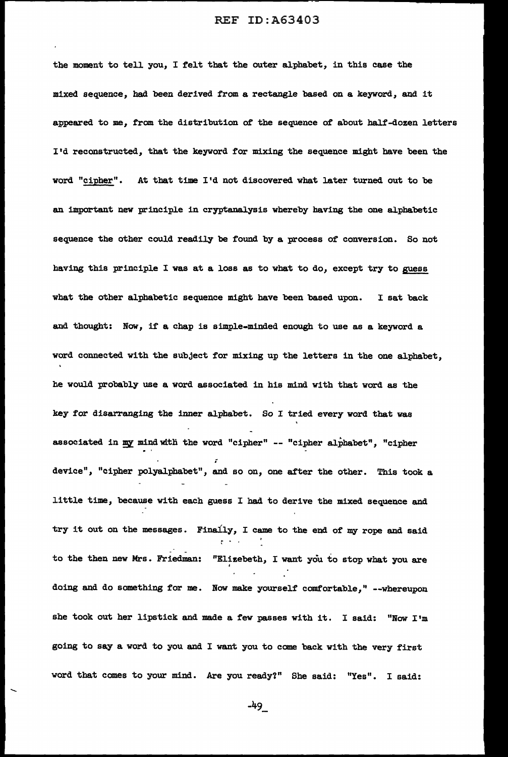the moment to tell you, I felt that the outer alphabet, in this case the mixed sequence, had been derived from a rectangle based on a keyword, and it appeared to me, from the distribution of the sequence of about half-dozen letters I'd reconstructed, that the keyword for mixing the sequence might have been the word "cipher". At that time I'd not discovered what later turned out to be an important new principle in cryptanalysis whereby having the one alphabetic sequence the other could readily be found by a process of conversion. So not having this principle I was at a loss as to what to do, except try to guess what the other alphabetic sequence might have been based upon. I sat back and thought: Now, if a chap is simple-minded enough to use as a keyword a word connected with the subject for mixing up the letters in the one alphabet, he would probably use a word associated in his mind with that word as the key for disarranging the inner alphabet. So I tried every word that was associated in my mind with the word "cipher" -- "cipher alphabet", "cipher i device", "cipher polyalphabet", and so on, one after the other. This took a little time, because with each guess I had to derive the mixed sequence and try it out on the messages. Finally, I came to the end of my rope and said <sup>~</sup>. . to the then new Mrs. Friedman: "Elizebeth, I want you to stop what you are doing and do something for me. Now make yourself comfortable," --whereupon she took out her lipstick and made a few passes with it. I said: "Now I'm going to say a word to you and I want you to come back with the very first word that comes to your mind. Are you ready?" She said: "Yes". I said:

-49\_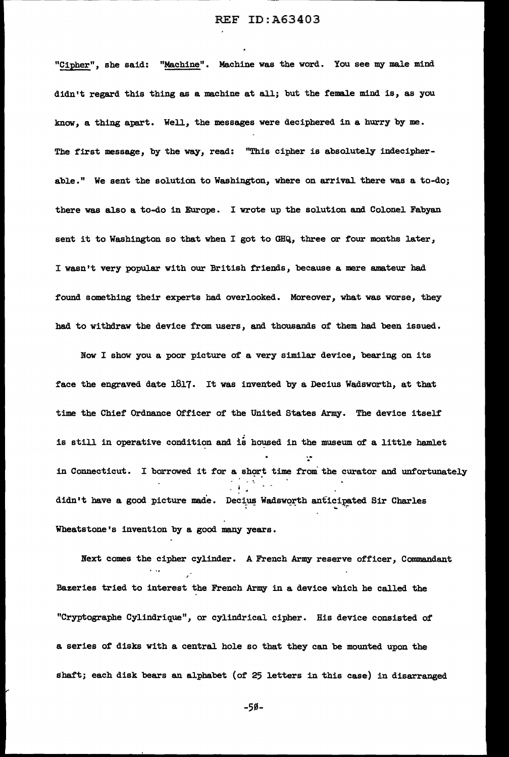"Cipher", she said: "Machine". Machine was the word. You see my male mind didn't regard this thing as a machine at all; but the female mind is, as you know, a thing apart. Well, the messages were deciphered in a hurry by me. The first message, by the way, read: "This cipher is absolutely indecipherable." We sent the solution to Washington, where on arrival. there was a to-do; there was also a to-do in Europe. I wrote up the solution and Colonel Fabyan sent it to Washington so that when I got to GHQ, three or four months later, I wasn't very popular with our British friends, because a mere amateur had found something their experts had over1ooked. Moreover, what was worse, they had to withdraw the device from users, and thousands of' them had been issued.

Now I show you a poor picture of a very similar device, bearing on its face the engraved date 1817. It was invented by a Decius Wadsworth, at that time the Chief Ordnance Officer of the United States Army. The device itself is still in operative condition and is housed in the museum of a little hamlet in Connecticut. I borrowed it for a short time from the curator and unfortunately - i .. didn't have a good picture made. Decius Wadsworth anticipated Sir Charles Wheatstone's invention by a good many years.

Next comes the cipher cylinder. A French Army reserve officer, Commandant Bazeries tried to interest the French Army in a device which he called the "Cryptographe Cylindrique", or cylindrical cipher. His device consisted of a series of' disks with a central hole so that they can be mounted upon the sbaf't; each disk bears an alphabet (of 25 letters in this case) in disarranged

-50-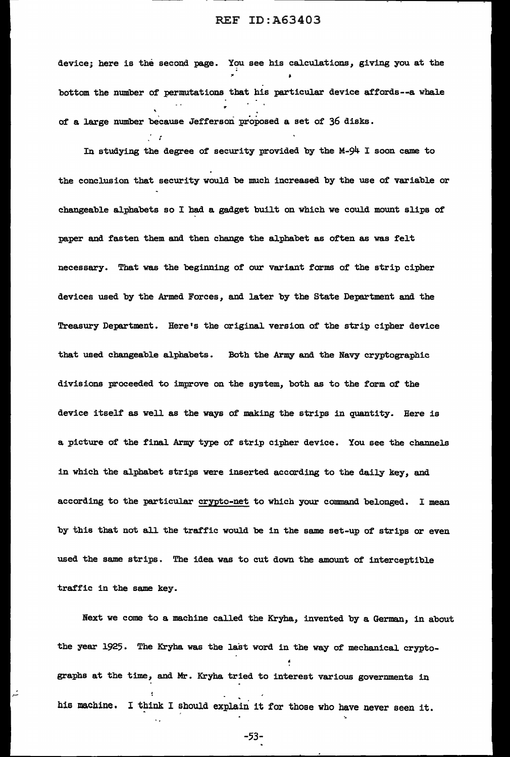device; here is the second page. You see his calculations, giving you at the bottom the number of permutations that bis particular device affords--a whale of a large number because Jefferson proposed a set of 36 disks. *r*  .

In studying the degree of security provided by the M-94 I soon came to the conclusion that security would be much increased by the use of variable or changeable alphabets so I bad a gadget built on which we could mount slips of paper and fasten them and then change the alphabet as often as was felt necessary. That was the beginning of our variant forms of the strip cipher devices used by the Armed Forces, and later by the State Department and the Treasury Department. Here's the original version of the strip cipher device that used changeable alphabets. Both the Army and the Navy cryptographic divisions proceeded to improve on the system, both as to the form of the device itself as well as the ways of making the strips in quantity. Here is a picture of the final Army type of strip cipher device. You see the channels in which the alphabet strips were inserted according to the daily key, and according to the particular crypto-net to which your command belonged. I mean by this that not all the traffic would be in the same set-up of strips or even used the same strips. The idea was to cut down the amount of interceptible traffic in the same key.

Next we come to a machine called the Kryha, invented by a German, in about the year 1925. The Kryha was the last word in the way of mechanical cryptographs at the time, and Mr. Kryha tried to interest various governments in his machine. I think I should explain it for those who have never seen it.

-53-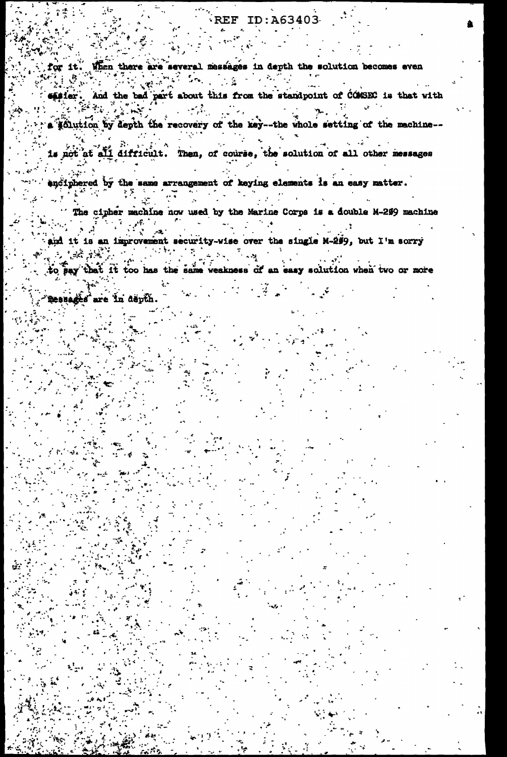When there are several messages in depth the solution becomes even for it.

easier. And the bad part about this from the standpoint of COMSEC is that with a politica by depth the recovery of the key--the whole setting of the machine--

is not at all difficult. Then, of course, the solution of all other messages

andiphered by the same arrangement of keying elements is an easy matter.  $\mathbf{r}$  $\mathcal{L}^{\text{max}}_{\text{max}}$ 

The cipher machine now used by the Marine Corps is a double M-299 machine

and it is an improvement security-wise over the single M-299, but I'm sorry 化化学基础 计字符  $2x + 1$  $\omega \rightarrow \omega$  . ू<br>पुरुष अपू

to pay that it too has the same weakness of an easy solution when two or more

messages are in depth.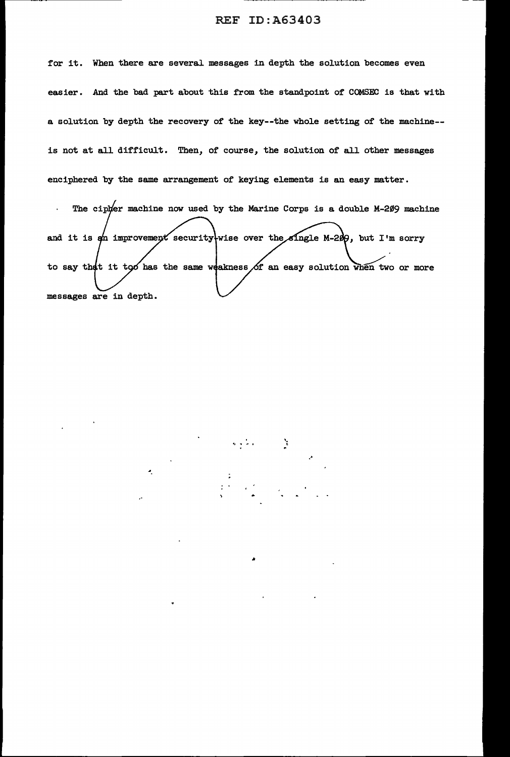for it. When there are several messages in depth the solution becomes even easier. And the bad part about this from the standpoint of COMSEC is that with a solution by depth the recovery of the key--the whole setting of the machine- is not at all difficult. Then, of course, the solution of all other messages enciphered by the same arrangement of keying elements is an easy matter.

The cipher machine now used by the Marine Corps is a double M-209 machine  $\mathbf{r}$ and it is  $\phi$  improvement security wise over the single M-200, but I'm sorry to say that it too has the same weakness of an easy solution when two or more messages are in depth.

... • "'° I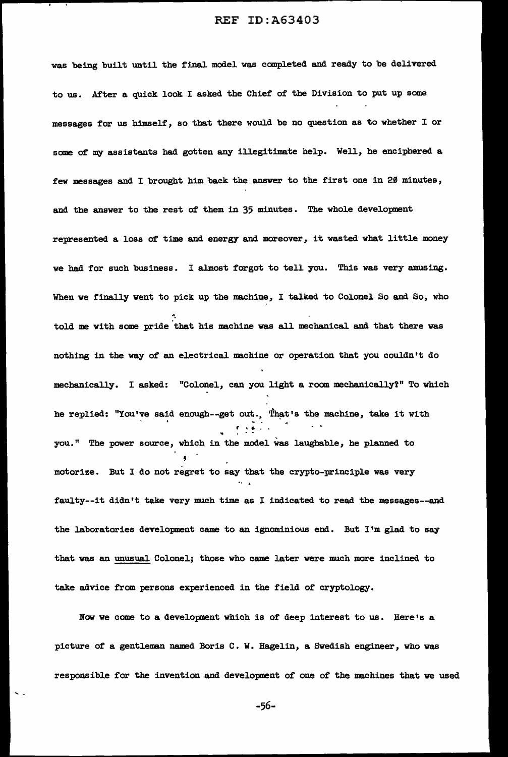was being built until the final model was completed and ready to be delivered to us. After a quick look I asked the Chief' of the Division to put up some messages for us himself, so that there would be no question as to whether I or some of my assistants had gotten any illegitimate help. Well, he enciphered a few messages and I brought him back the answer to the first one in 2 $\emptyset$  minutes, and the answer to the rest of them in 35 minutes. The whole development represented a loss of time and energy and moreover, it wasted what little money we had for such business. I almost forgot to tell you. This was very amusing. When we finally went to pick up the machine, I talked to Colonel So and So, who told me with some pride that his machine was all mechanical. and that there was nothing in the way of an electrical machine or operation that you couldn't do mechanically. I asked: "Colonel, can you light a room mechanically?" To which he replied: "You've said enough--get out., That's the machine, take it with r • ... you." The power source, which in the model was laughable, he planned to ! motorize. But I do not regret to say that the crypto-principle was very faulty--it didn't take very much time as I indicated to read the messages--and the laboratories development came to an ignominious end. But I'm glad to say that was an unusual. Colonel; those who came later were much more inclined to take advice from persons experienced in the field of cryptology.

Now we come to a development which is of deep interest to us. Here's a picture of a gentleman named Boris C. W. Hagelin, a Swedish engineer, who was responsible for the invention and development of one of the machines that we used

 $\ddotsc$ 

-56-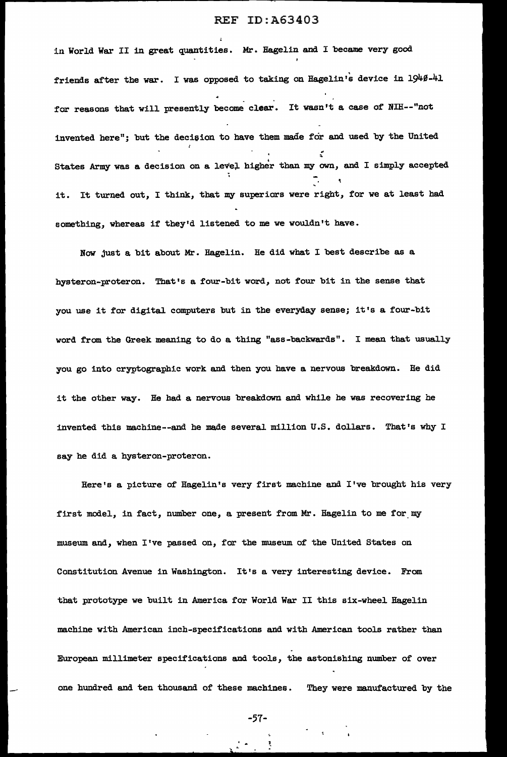in World War II in great quantities. Mr. Hagelin and I became very good friends after the war. I was opposed to taking on Hagelin's device in 1940-41 for reasons that will presently become clear. It wasn't a case of NIH--"not invented here"; but the decision to have them made for and used by the United States Army was a decision on a level higher than my own, and I simply accepted .. it. It turned out, I think, that my superiors were right, for we at least had something, whereas if they'd listened to me we wouldn't have.

Now just a bit about Mr. Hagelin. He did what I best describe as a hysteron-proteron. That's a four-bit word, not four bit in the sense that you use it for digital computers but in the everyday sense; it's a four-bit word from the Greek meaning to do a thing "ass-backwards". I mean that usually you go into cryptographic work and then you have a nervous breakdown. He did it the other way. He had a nervous breakdown and while he was recovering he invented this machine--and he made several million U.S. dollars. That's why I say he did a hysteron-proteron.

Here's a picture of Hagelin's very first machine and I've brought his very first model, in fact, number one, a present from Mr. Hagelin to me for my museum and, when I've passed on, for the museum of the United States on Constitution Avenue in Washington. It's a very interesting device. From that prototype we built in America for World War II this six-wheel Hagelin machine with American inch-specifications and with American tools rather than European millimeter specifications and tools, the astonishing number of over one hundred and ten thousand of these machines. They were manufactured by the

-57-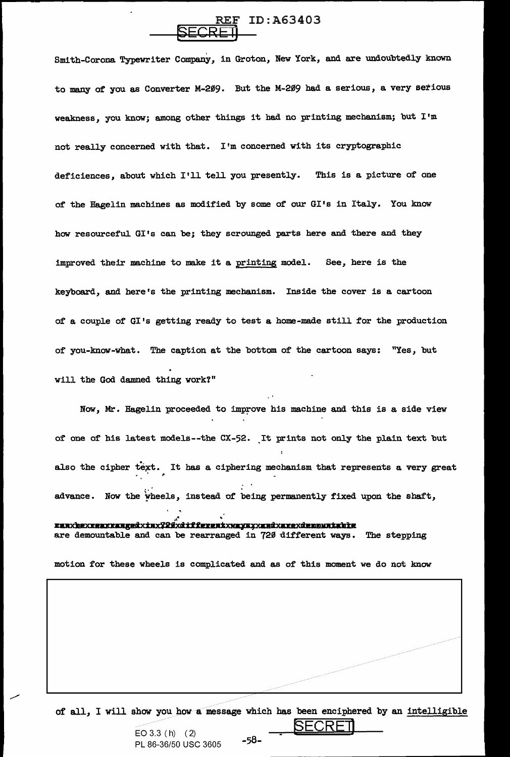# ID:A63403 <del>peore ll</del>

Smith-Corona Typewriter Company, in Groton, New York, and are undoubtedly known to many of you as Converter M-209. But the M-209 had a serious, a very serious weakness, you know; among other things it had no printing mechanism; but I'm not really concerned with that. I'm concerned with its cryptographic deficiences, about which I'll tell you presently. This is a picture of one of the Hagelin machines as modified by some of our GI's in Italy. You know how resourceful GI's can be; they scrounged parts here and there and they improved their machine to make it a printing model. See, here is the keyboard, and here's the printing mechanism. Inside the cover is a cartoon of a couple of  $GI$ 's getting ready to test a home-made still for the production of you-know-what. The caption at the bottom of the cartoon says: "Yes, but will the God damned thing work?"

Now, Mr. Hagelin proceeded to improve his machine and this is a side view of one of his latest models--the CX-52. It prints not only the plain text but also the cipher text. It has a ciphering mechanism that represents a very great ~ advance. Now the wheels, instead of being permanently fixed upon the shaft,

<u>ezaxbexxezxxaagedxiaxf20xdiffereatxwaysyxaadxaxexdenmuatabte</u> are demountable and can be rearranged in 720 different ways. The stepping

motion for these wheels is complicated and as of this moment we do not know

of all, I will show you how a message which has been enciphered by an intelligible

EO 3.3 ( h) ( 2)<br>PL 86.36/50.1190.3695 - 58-PL 86-36/50 USC 3605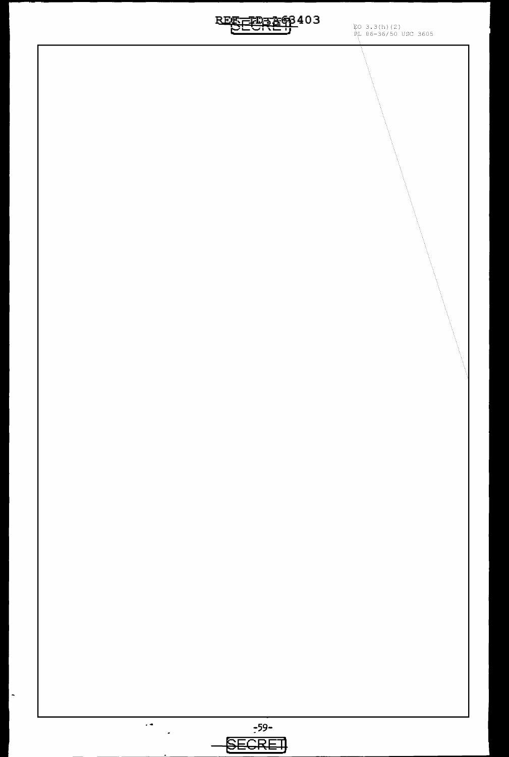**REFEERE68403**  $3.3(h) (2)$ 86-36/50 USC 3605  $\ddot{\phantom{1}}$ :-59-  $\tilde{\boldsymbol{\cdot} }$ **f\$ECREl]** 

 $\overline{\phantom{a}}$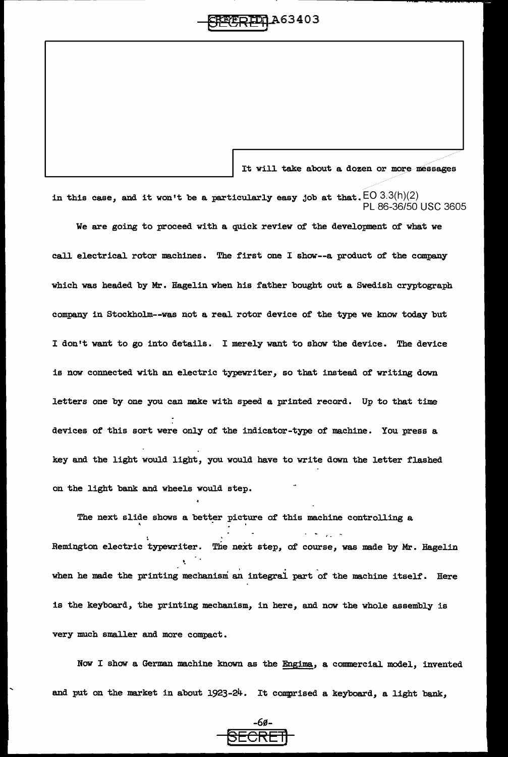# ~R-gqA63403

It will take about a dozen or more messages

in this case, and it won't be a particularly easy job at that.  $EO\ 3.3(h)(2)$ PL 86-36/50 USC 3605

We are going to proceed with a quick review of the development of what we

call electrical rotor machines. The first one I show--a product of the company which was headed by Mr. Hagelin when his father bought out a Swedish cryptograph company in Stockholm--was not a real rotor device of the type we know today but I don't want to go into details. I merely want to show the device. The device is now connected with an electric typewriter, so that instead of writing down letters one by one you can make with speed a printed record. Up to that time devices of this sort were only of the indicator-type of machine. You press a key and the light would light, you would have to write down the letter flashed on the light bank and wheels would step.

The next slide shows a better picture of this machine controlling a Remington electric typewriter. The next step, of course, was made by Mr. Hagelin '· when he made the printing mechanism an integral part of the machine itself. Here is the keyboard, the printing mechanism, in here, and now the whole assembly is very much smaller and more compact.

Now I show a German machine known as the Engima, a commercial model, invented and put on the market in about 1923-24. It comprised a keyboard, a light bank,

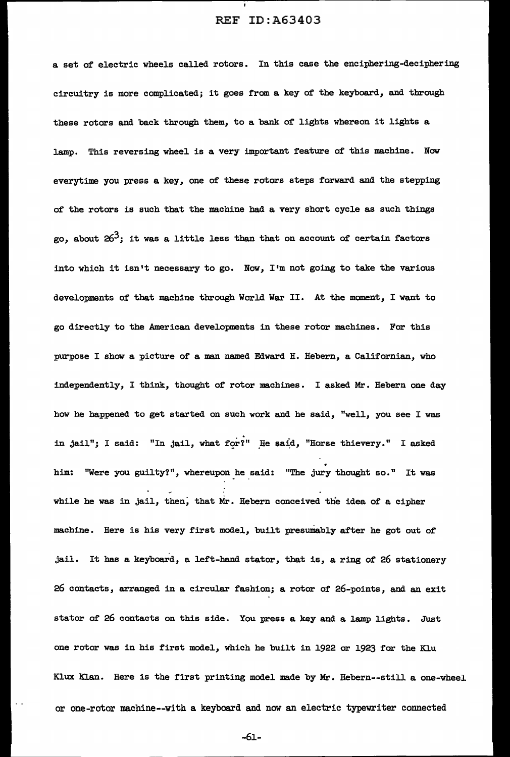a set of electric wheels called rotors. In this case the enciphering-deciphering circuitry is more complicated; it goes from a key of the keyboard, and through these rotors and back through them, to a bank of lights whereon it lights a lamp. This reversing wheel is a very important feature of this machine. Now everytime you press a key, one of these rotors steps forward and the stepping of the rotors is such that the machine had a very short cycle as such things go, about  $26<sup>3</sup>$ ; it was a little less than that on account of certain factors into which it isn't necessary to go. Now, I'm not going to take the various developments of that machine through World War II. At the moment, I want to go directly to the American developments in these rotor machines. For this purpose I show a picture of a man named Edward H. Hebern, a Californian, who independently, I think, thought of rotor machines. I asked Mr. Hebern one day how he happened to get started on such work and he said, "well, you see I was in jail"; I said: "In jail, what for?" He said, "Horse thievery." I asked him: "Were you guilty?", whereupon he said: "The jury thought so." It was while he was in jail, then, that Mr. Hebern conceived the idea of a cipher machine. Here is his very first model, built presumably after he got out of jail. It has a keyboard, a left-hand stator, that is, a ring of' 26 stationery 26 contacts, arranged in a circular fashion; a rotor of 26-points, and an exit stator of 26 contacts on this side. You press a key and a lamp lights. Just one rotor was in his first model, which he built in 1922 or 1923 for the Klu Klux Klan. Here is the first printing model made by Mr. Hebern--still a one-wheel or one-rotor machine--with a keyboard and now an electric typewriter connected

-61-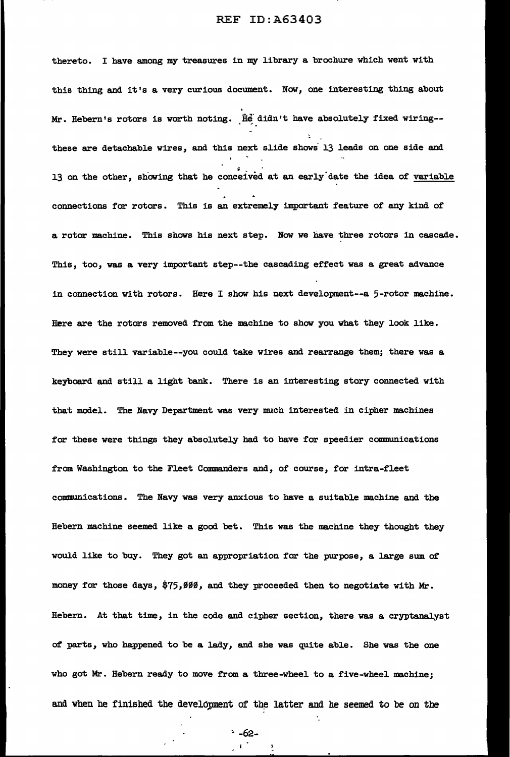thereto. I have among my treasures in my library a brochure which went with this thing and it's a very curious document. Now, one interesting thing about Mr. Hebern's rotors is worth noting. He didn't have absolutely fixed wiring-these are detachable wires, and this next slide shows 13 leads on one side and 13 on the other, showing that he conceived at an early date the idea of variable connections for rotors. This is an extremely important feature of any kind of a rotor machine. This shows his next step. Now we have three rotors in cascade. This, too, was a very important step--the cascading effect was a great advance in connection with rotors. Here I show his next development--a  $5$ -rotor machine. Here are the rotors removed from the machine to show you what they look like. They were still variable--you could take wires and rearrange them; there was a keyboard and still a light bank. There is an interesting story connected with that model. The Navy Department was very much interested in cipher machines for these were things they absolutely had to have for speedier communications from Washington to the Fleet Commanders and, of course, for intra-fleet communications. The Navy was very anxious to have a suitable machine and the Hebern machine seemed like a good bet. This was the machine they thought they would like to buy. They got an appropriation for the purpose, a large sum of money for those days,  $$75,999$ , and they proceeded then to negotiate with Mr. Hebern. At that time, in the code and cipher section, there was a cryptanalyst of parts, who happened to be a lady, and she was quite able. She was the one who got Mr. Hebern ready to move from a three-wheel to a five-wheel machine; and when he finished the development of the latter and he seemed to be on the

;. -62-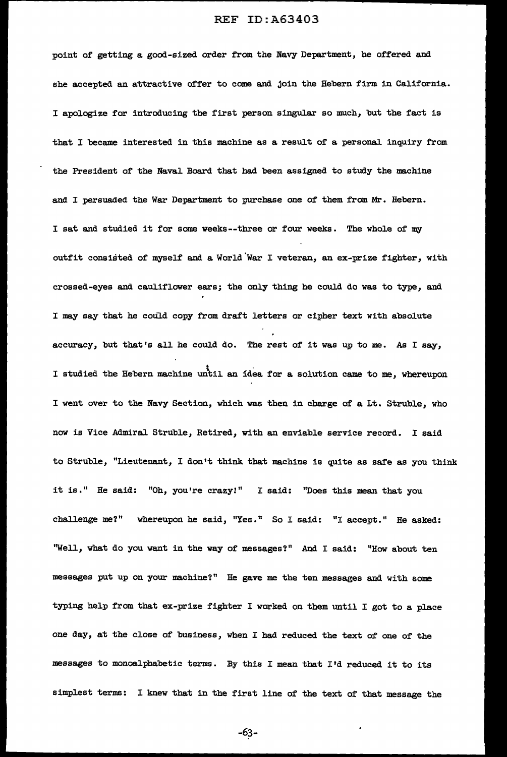point of getting a good-sized order from the Navy Department, he offered and she accepted an attractive offer to come and join the Rebern firm in California. I apologize for introducing the first person singular so much, but the fact is that I became interested in this machine as a result of a personal inquiry from the President of the Naval Board that had been assigned to study the machine and I persuaded the War Department to purchase one of them from Mr. Hebern. I sat and studied it for some weeks--three or four weeks. The whole of my outfit consisted of myself and a World.War I veteran, an ex-prize fighter, with crossed-eyes and cauliflower ears; the only thing he could do was to type, and I may say that he could copy from draft letters or cipher text with absolute accuracy, but that's all he could do. The rest of it was up to me. As I say, 6 I studied the Bebern machine until an idea for a solution came to me, whereupon I went over to the Navy Section, which was then in charge of a Lt. Struble, who now is Vice Admiral Struble, Retired, with an enviable service record. I said to Struble, "Lieutenant, I don't think that machine is quite as safe as you think it is." He said: "Oh, you're crazy!" I said: "Does this mean that you challenge me?" whereupon he said, "Yes." So I said: "I accept." He asked: ''Well, what do you want in the way of messages'?" And I said: "How about ten messages put up on your machine?" He gave me the ten messages and with some typing help from that ex-prize fighter I worked on them until I got to a place one day, at the close of business, when I had reduced the text of one of the messages to monoalphabetic terms. By this I mean that I'd reduced it to its simplest terms: I knew that in the first line of the text of that message the

-63-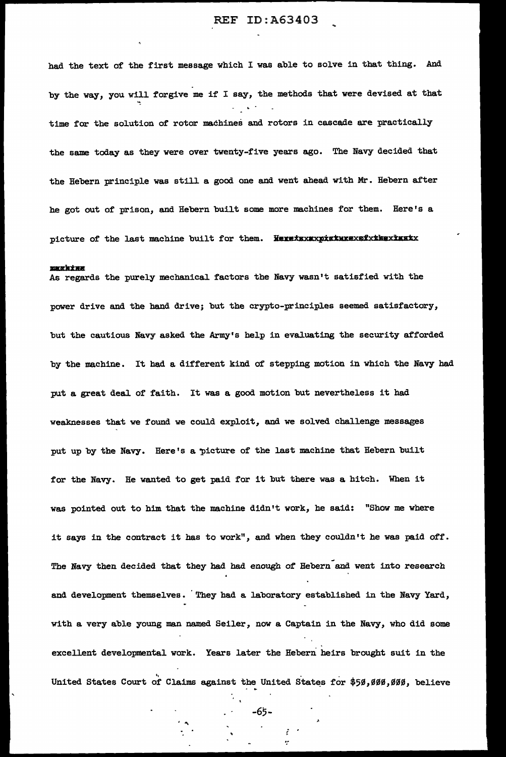had the text of the first message which I was able to solve in that thing. And by the way, you will. forgive me if I say, the methods that were devised at that time for the solution of rotor machines and rotors in cascade are practically the same today as they were over twenty-five years ago. The Navy decided that the Hebern principle was still a good one and went ahead with Mr. Hebern after he got out of prison, and Hebern built some more machines for them. Here's a picture of the last machine built for them. Heretaxaxxpicturexefxthexinatx

#### **Wikking**

As regards the purely mechanical. factors the Navy wasn't satisfied with the power drive and the hand drive; but the crypto-principles seemed satisfactory, but the cautious Navy asked the Army's help in evaluating the security afforded by the machine. It had a different kind of stepping motion in which the Navy had put a great deal of faith. It was a good motion but nevertheless it had weaknesses that we found we could exploit, and we solved challenge messages put up by the Navy. Here's a picture of the last machine that Hebern built for the Navy. He wanted to get paid for it but there was a hitch. When it was pointed out to him that the machine didn't work, he said: "Show me where it says in the contract it has to work", and when they couldn't he was paid off. The Navy then decided that they had had enough of Hebern and went into research and development themselves. They had a laboratory established in the Navy Yard, with a very able young man named Seiler, now a Captain in the Navy, who did some excellent developmental work. Years later the Hebern heirs brought suit in the United States Court of Claims against the United States for \$50,000,000, believe

-65-

 $\mathcal{E}^{(1)}$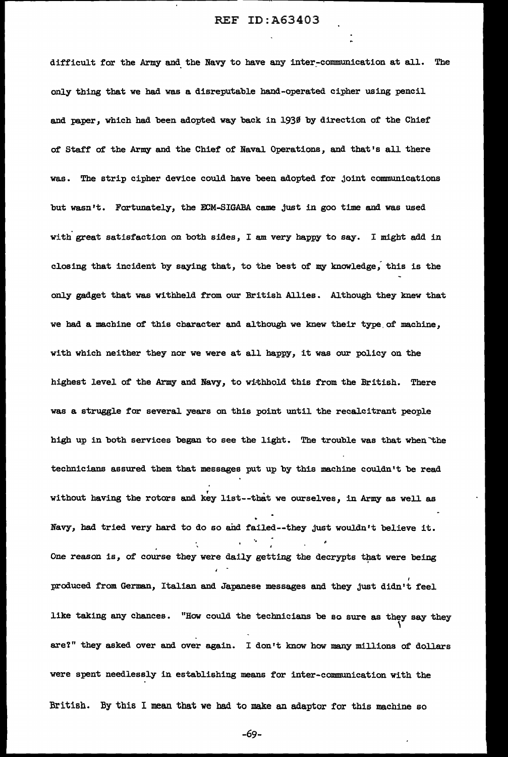difficult for the Army and the Navy to have any inter-communication at all. The only thing that we had was a disreputable hand-operated cipher using pencil and paper, which had been adopted way back in 1930 by direction of the Chief of' Staff' of the Army and the Chief' of' Naval Operations, and that's all there was. The strip cipher device could have been adopted for joint communications but wasn't. Fortunately, the ECM-SIGABA came just in goo time and was used with great satisfaction on both sides, I am very happy to say. I might add in closing that incident by saying that, to the best of my knowledge; this is the only gadget that was withheld f'rom our British Allies. Although they knew that we had a machine of this character and although we knew their type of machine, with which neither they nor we were at all happy, it was our policy on the highest level of the Army and Navy, to withhold this from the British. There was a struggle for several years on this point until the recalcitrant people high up in both services began to see the light. The trouble was that when the technicians assured them that messages put up by this machine couldn't be read without having the rotors and key list--that we ourselves, in Army as well as Navy, had tried very hard to do so and failed--they just wouldn't believe it. '• One reason is, of course they were daily getting the decrypts that were being produced from German, Italian and Japanese messages and they just didn't feel like taking any chances. "How could the technicians be so sure as they say they ' are?" they asked over and over again. I don•t know how many millions of' dollars were spent needlessly in establishing means for inter-communication with the British. By this I mean that we had to make an adaptor for this machine so

-69-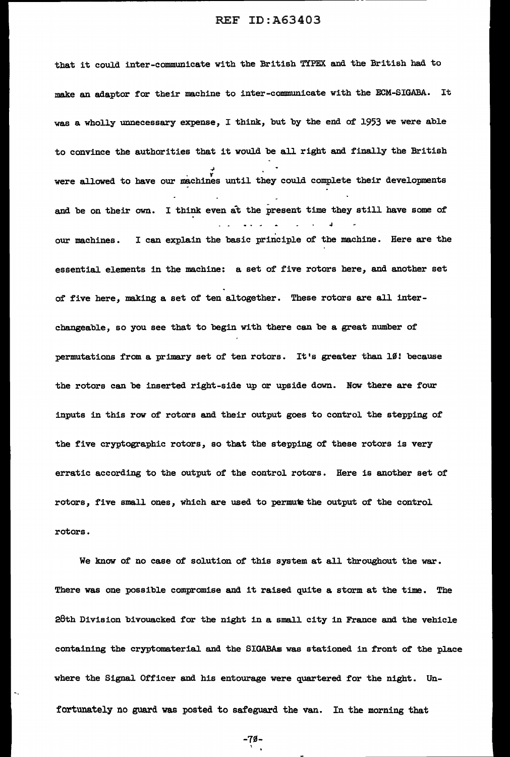that it could inter-communicate with the British TYPEX and the British had to make an adaptor for their machine to inter-communicate with the ECM-SIGABA. It was a wholly unnecessary expense, I think, but by the end of 1953 we were able to convince the authorities that it would be all right and finally the British were allowed to have our machines until they could complete their developments and be on their own. I think even at the present time they still have some of our machines. I can explain the basic principle of the machine. Here are the essential elements in the machine: a set of five rotors here, and another set of five here, making a set of ten altogether. These rotors are all interchangeable, so you see that to begin with there can be a great number of permutations from a primary set of ten rotors. It's greater than 10! because the rotors can be inserted right-side up or upside down. Now there are four inputs in this row of rotors and their output goes to control the stepping of the five cryptographic rotors, so that the stepping of these rotors is very erratic according to the output of the control rotors. Here is another set of rotors, five small ones, which are used to permute the output of the control rotors.

We know of no case of solution of this system at all throughout the war. There was one possible compromise and it raised quite a storm at the time. The 28th Division bivouacked for the night in a small city in France and the vehicle containing the cryptomaterial and the SIGABAs was stationed in front of the place where the Signal Officer and his entourage were quartered for the night. Unfortunately no guard was posted to safeguard the van. In the morning that

-7S- ,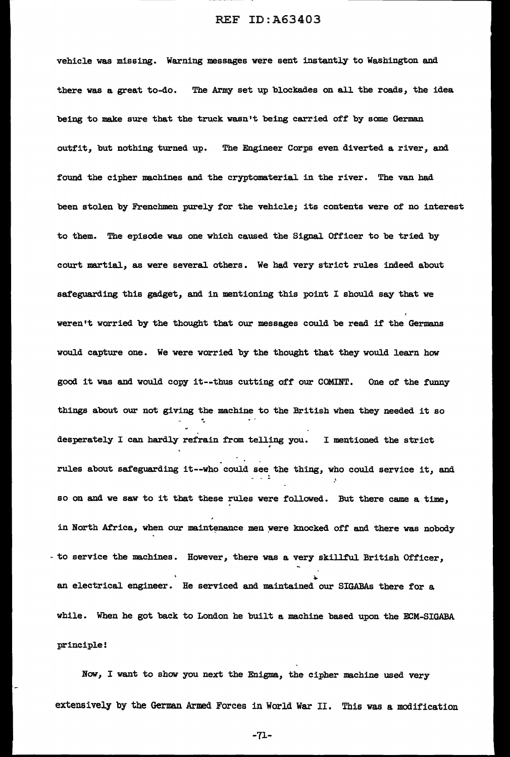vehicle was missing. Warning messages were sent instantly to Washington and there was a great to-do. The Army set up blockades on all the roads, the idea being to make sure that the truck wasn't being carried off by some German outfit, but nothing turned up. The Engineer Corps even diverted a river, and found the cipher machines and the cryptomaterial in the river. The van had been stolen by Frenchmen purely *tor* the vehicle; its contents were of no interest to them. The episode was one which caused the Signal Officer to be tried by court martial, as were several others. We had very strict rules indeed about safeguarding this gadget, and in mentioning this point I should say that we weren't worried by the thought that our messages could be read if the Germans would capture one. We were worried by the thought that they would learn bow good it was and would copy it--tbus cutting off our COMINT. One of the tunny things about our not giving the machine to the British when they needed it so ·. desperately I can hardly refrain from telling you. I mentioned the strict . rules about safeguarding it--who could see the thing, who could service it, and so on and we saw to it that these rules were followed. But there came a time, in North Africa, when our maintenance men were knocked off and there was nobody - to service the machines. However, there was a very skillful British Officer, an electrical engineer. He serviced and maintained our SIGABAs there for a while. When he got back to London he built a machine based upon the ECM-SIGABA principle!

Now, I want to show you next the Enigma, the cipher machine used very extensively by the German Armed Forces in World War II. This was a modification

-71-